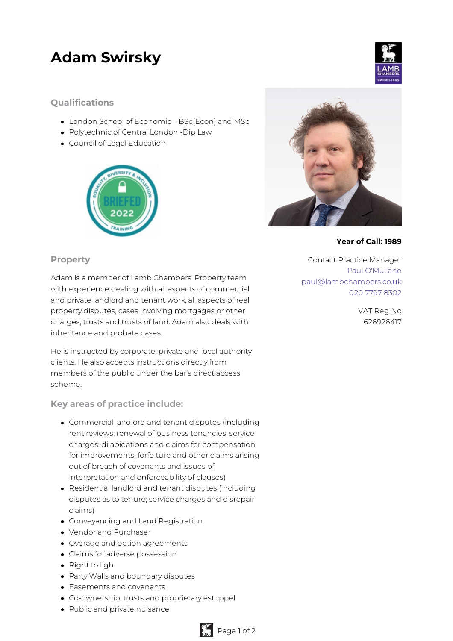## **Adam Swirsky**

## **Qualifications**

- London School of Economic BSc(Econ) and MSc
- Polytechnic of Central London -Dip Law
- Council of Legal Education







## **Year of Call: 1989**

Contact Practice Manager Paul [O'Mullane](mailto:paul@lambchambers.co.uk) [paul@lambchambers.co.uk](mailto:paul@lambchambers.co.uk) 020 7797 [8302](tel:020%207797%208302)

> VAT Reg No 626926417

## **Property**

Adam is a member of Lamb Chambers' Property team with experience dealing with all aspects of commercial and private landlord and tenant work, all aspects of real property disputes, cases involving mortgages or other charges, trusts and trusts of land. Adam also deals with inheritance and probate cases.

He is instructed by corporate, private and local authority clients. He also accepts instructions directly from members of the public under the bar's direct access scheme.

**Key areas of practice include:**

- Commercial landlord and tenant disputes (including rent reviews; renewal of business tenancies; service charges; dilapidations and claims for compensation for improvements; forfeiture and other claims arising out of breach of covenants and issues of interpretation and enforceability of clauses)
- Residential landlord and tenant disputes (including disputes as to tenure; service charges and disrepair claims)
- Conveyancing and Land Registration
- Vendor and Purchaser
- Overage and option agreements
- Claims for adverse possession
- Right to light
- Party Walls and boundary disputes
- Easements and covenants
- Co-ownership, trusts and proprietary estoppel
- Public and private nuisance